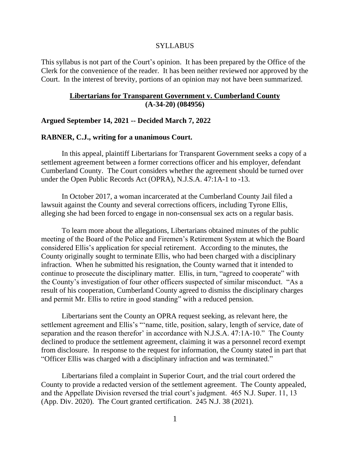#### SYLLABUS

This syllabus is not part of the Court's opinion. It has been prepared by the Office of the Clerk for the convenience of the reader. It has been neither reviewed nor approved by the Court. In the interest of brevity, portions of an opinion may not have been summarized.

### **Libertarians for Transparent Government v. Cumberland County (A-34-20) (084956)**

### **Argued September 14, 2021 -- Decided March 7, 2022**

# **RABNER, C.J., writing for a unanimous Court.**

In this appeal, plaintiff Libertarians for Transparent Government seeks a copy of a settlement agreement between a former corrections officer and his employer, defendant Cumberland County. The Court considers whether the agreement should be turned over under the Open Public Records Act (OPRA), N.J.S.A. 47:1A-1 to -13.

In October 2017, a woman incarcerated at the Cumberland County Jail filed a lawsuit against the County and several corrections officers, including Tyrone Ellis, alleging she had been forced to engage in non-consensual sex acts on a regular basis.

To learn more about the allegations, Libertarians obtained minutes of the public meeting of the Board of the Police and Firemen's Retirement System at which the Board considered Ellis's application for special retirement. According to the minutes, the County originally sought to terminate Ellis, who had been charged with a disciplinary infraction. When he submitted his resignation, the County warned that it intended to continue to prosecute the disciplinary matter. Ellis, in turn, "agreed to cooperate" with the County's investigation of four other officers suspected of similar misconduct. "As a result of his cooperation, Cumberland County agreed to dismiss the disciplinary charges and permit Mr. Ellis to retire in good standing" with a reduced pension.

Libertarians sent the County an OPRA request seeking, as relevant here, the settlement agreement and Ellis's "'name, title, position, salary, length of service, date of separation and the reason therefor' in accordance with N.J.S.A. 47:1A-10." The County declined to produce the settlement agreement, claiming it was a personnel record exempt from disclosure. In response to the request for information, the County stated in part that "Officer Ellis was charged with a disciplinary infraction and was terminated."

Libertarians filed a complaint in Superior Court, and the trial court ordered the County to provide a redacted version of the settlement agreement. The County appealed, and the Appellate Division reversed the trial court's judgment. 465 N.J. Super. 11, 13 (App. Div. 2020). The Court granted certification. 245 N.J. 38 (2021).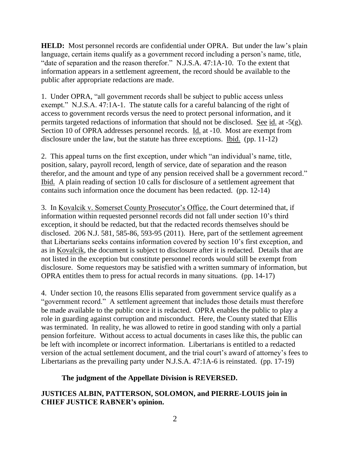**HELD:** Most personnel records are confidential under OPRA. But under the law's plain language, certain items qualify as a government record including a person's name, title, "date of separation and the reason therefor." N.J.S.A. 47:1A-10. To the extent that information appears in a settlement agreement, the record should be available to the public after appropriate redactions are made.

1. Under OPRA, "all government records shall be subject to public access unless exempt." N.J.S.A. 47:1A-1. The statute calls for a careful balancing of the right of access to government records versus the need to protect personal information, and it permits targeted redactions of information that should not be disclosed. See id. at -5(g). Section 10 of OPRA addresses personnel records. Id. at -10. Most are exempt from disclosure under the law, but the statute has three exceptions. Ibid. (pp. 11-12)

2. This appeal turns on the first exception, under which "an individual's name, title, position, salary, payroll record, length of service, date of separation and the reason therefor, and the amount and type of any pension received shall be a government record." Ibid. A plain reading of section 10 calls for disclosure of a settlement agreement that contains such information once the document has been redacted. (pp. 12-14)

3. In Kovalcik v. Somerset County Prosecutor's Office, the Court determined that, if information within requested personnel records did not fall under section 10's third exception, it should be redacted, but that the redacted records themselves should be disclosed. 206 N.J. 581, 585-86, 593-95 (2011). Here, part of the settlement agreement that Libertarians seeks contains information covered by section 10's first exception, and as in Kovalcik, the document is subject to disclosure after it is redacted. Details that are not listed in the exception but constitute personnel records would still be exempt from disclosure. Some requestors may be satisfied with a written summary of information, but OPRA entitles them to press for actual records in many situations. (pp. 14-17)

4. Under section 10, the reasons Ellis separated from government service qualify as a "government record." A settlement agreement that includes those details must therefore be made available to the public once it is redacted. OPRA enables the public to play a role in guarding against corruption and misconduct. Here, the County stated that Ellis was terminated. In reality, he was allowed to retire in good standing with only a partial pension forfeiture. Without access to actual documents in cases like this, the public can be left with incomplete or incorrect information. Libertarians is entitled to a redacted version of the actual settlement document, and the trial court's award of attorney's fees to Libertarians as the prevailing party under N.J.S.A. 47:1A-6 is reinstated. (pp. 17-19)

# **The judgment of the Appellate Division is REVERSED.**

# **JUSTICES ALBIN, PATTERSON, SOLOMON, and PIERRE-LOUIS join in CHIEF JUSTICE RABNER's opinion.**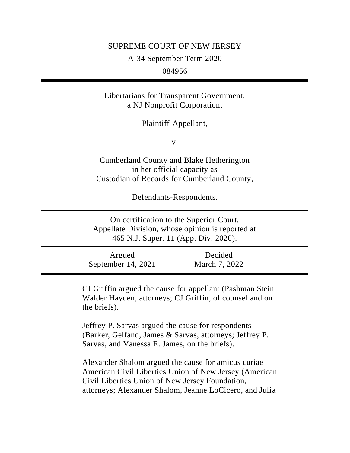### SUPREME COURT OF NEW JERSEY

A-34 September Term 2020

084956

Libertarians for Transparent Government, a NJ Nonprofit Corporation,

Plaintiff-Appellant,

v.

Cumberland County and Blake Hetherington in her official capacity as Custodian of Records for Cumberland County,

Defendants-Respondents.

On certification to the Superior Court, Appellate Division, whose opinion is reported at 465 N.J. Super. 11 (App. Div. 2020).

Argued September 14, 2021 Decided March 7, 2022

CJ Griffin argued the cause for appellant (Pashman Stein Walder Hayden, attorneys; CJ Griffin, of counsel and on the briefs).

Jeffrey P. Sarvas argued the cause for respondents (Barker, Gelfand, James & Sarvas, attorneys; Jeffrey P. Sarvas, and Vanessa E. James, on the briefs).

Alexander Shalom argued the cause for amicus curiae American Civil Liberties Union of New Jersey (American Civil Liberties Union of New Jersey Foundation, attorneys; Alexander Shalom, Jeanne LoCicero, and Julia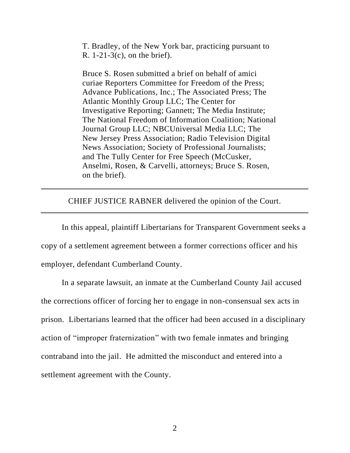T. Bradley, of the New York bar, practicing pursuant to R. 1-21-3(c), on the brief).

Bruce S. Rosen submitted a brief on behalf of amici curiae Reporters Committee for Freedom of the Press; Advance Publications, Inc.; The Associated Press; The Atlantic Monthly Group LLC; The Center for Investigative Reporting; Gannett; The Media Institute; The National Freedom of Information Coalition; National Journal Group LLC; NBCUniversal Media LLC; The New Jersey Press Association; Radio Television Digital News Association; Society of Professional Journalists; and The Tully Center for Free Speech (McCusker, Anselmi, Rosen, & Carvelli, attorneys; Bruce S. Rosen, on the brief).

CHIEF JUSTICE RABNER delivered the opinion of the Court.

In this appeal, plaintiff Libertarians for Transparent Government seeks a copy of a settlement agreement between a former corrections officer and his employer, defendant Cumberland County.

In a separate lawsuit, an inmate at the Cumberland County Jail accused the corrections officer of forcing her to engage in non-consensual sex acts in prison. Libertarians learned that the officer had been accused in a disciplinary action of "improper fraternization" with two female inmates and bringing contraband into the jail. He admitted the misconduct and entered into a settlement agreement with the County.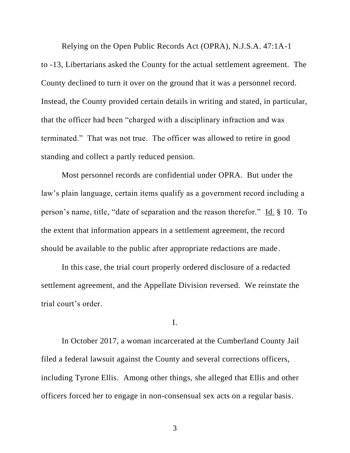Relying on the Open Public Records Act (OPRA), N.J.S.A. 47:1A-1 to -13, Libertarians asked the County for the actual settlement agreement. The County declined to turn it over on the ground that it was a personnel record. Instead, the County provided certain details in writing and stated, in particular, that the officer had been "charged with a disciplinary infraction and was terminated." That was not true. The officer was allowed to retire in good standing and collect a partly reduced pension.

Most personnel records are confidential under OPRA. But under the law's plain language, certain items qualify as a government record including a person's name, title, "date of separation and the reason therefor." Id. § 10. To the extent that information appears in a settlement agreement, the record should be available to the public after appropriate redactions are made.

In this case, the trial court properly ordered disclosure of a redacted settlement agreement, and the Appellate Division reversed. We reinstate the trial court's order.

#### I.

In October 2017, a woman incarcerated at the Cumberland County Jail filed a federal lawsuit against the County and several corrections officers, including Tyrone Ellis. Among other things, she alleged that Ellis and other officers forced her to engage in non-consensual sex acts on a regular basis.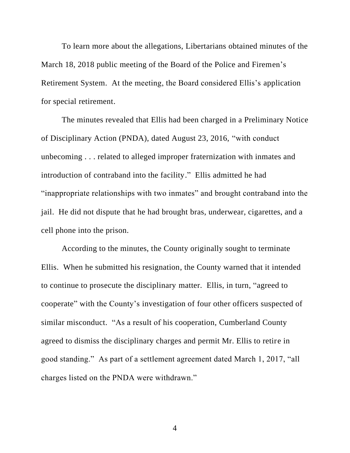To learn more about the allegations, Libertarians obtained minutes of the March 18, 2018 public meeting of the Board of the Police and Firemen's Retirement System. At the meeting, the Board considered Ellis's application for special retirement.

The minutes revealed that Ellis had been charged in a Preliminary Notice of Disciplinary Action (PNDA), dated August 23, 2016, "with conduct unbecoming . . . related to alleged improper fraternization with inmates and introduction of contraband into the facility." Ellis admitted he had "inappropriate relationships with two inmates" and brought contraband into the jail. He did not dispute that he had brought bras, underwear, cigarettes, and a cell phone into the prison.

According to the minutes, the County originally sought to terminate Ellis. When he submitted his resignation, the County warned that it intended to continue to prosecute the disciplinary matter. Ellis, in turn, "agreed to cooperate" with the County's investigation of four other officers suspected of similar misconduct. "As a result of his cooperation, Cumberland County agreed to dismiss the disciplinary charges and permit Mr. Ellis to retire in good standing." As part of a settlement agreement dated March 1, 2017, "all charges listed on the PNDA were withdrawn."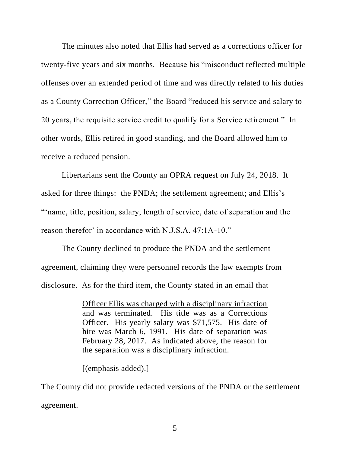The minutes also noted that Ellis had served as a corrections officer for twenty-five years and six months. Because his "misconduct reflected multiple offenses over an extended period of time and was directly related to his duties as a County Correction Officer," the Board "reduced his service and salary to 20 years, the requisite service credit to qualify for a Service retirement." In other words, Ellis retired in good standing, and the Board allowed him to receive a reduced pension.

Libertarians sent the County an OPRA request on July 24, 2018. It asked for three things: the PNDA; the settlement agreement; and Ellis's "'name, title, position, salary, length of service, date of separation and the reason therefor' in accordance with N.J.S.A. 47:1A-10."

The County declined to produce the PNDA and the settlement agreement, claiming they were personnel records the law exempts from disclosure. As for the third item, the County stated in an email that

> Officer Ellis was charged with a disciplinary infraction and was terminated. His title was as a Corrections Officer. His yearly salary was \$71,575. His date of hire was March 6, 1991. His date of separation was February 28, 2017. As indicated above, the reason for the separation was a disciplinary infraction.

[(emphasis added).]

The County did not provide redacted versions of the PNDA or the settlement agreement.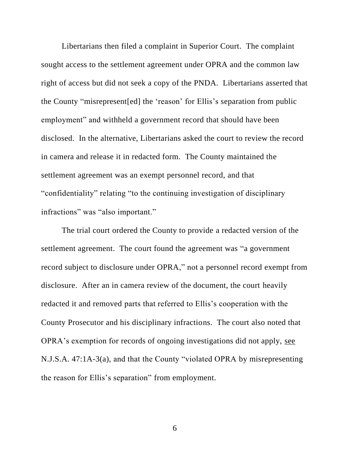Libertarians then filed a complaint in Superior Court. The complaint sought access to the settlement agreement under OPRA and the common law right of access but did not seek a copy of the PNDA. Libertarians asserted that the County "misrepresent[ed] the 'reason' for Ellis's separation from public employment" and withheld a government record that should have been disclosed. In the alternative, Libertarians asked the court to review the record in camera and release it in redacted form. The County maintained the settlement agreement was an exempt personnel record, and that "confidentiality" relating "to the continuing investigation of disciplinary infractions" was "also important."

The trial court ordered the County to provide a redacted version of the settlement agreement. The court found the agreement was "a government record subject to disclosure under OPRA," not a personnel record exempt from disclosure. After an in camera review of the document, the court heavily redacted it and removed parts that referred to Ellis's cooperation with the County Prosecutor and his disciplinary infractions. The court also noted that OPRA's exemption for records of ongoing investigations did not apply, see N.J.S.A. 47:1A-3(a), and that the County "violated OPRA by misrepresenting the reason for Ellis's separation" from employment.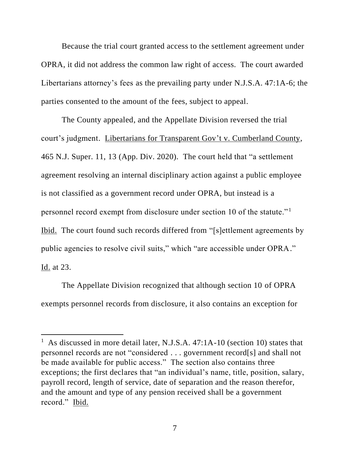Because the trial court granted access to the settlement agreement under OPRA, it did not address the common law right of access. The court awarded Libertarians attorney's fees as the prevailing party under N.J.S.A. 47:1A-6; the parties consented to the amount of the fees, subject to appeal.

The County appealed, and the Appellate Division reversed the trial court's judgment. Libertarians for Transparent Gov't v. Cumberland County, 465 N.J. Super. 11, 13 (App. Div. 2020). The court held that "a settlement agreement resolving an internal disciplinary action against a public employee is not classified as a government record under OPRA, but instead is a personnel record exempt from disclosure under section 10 of the statute."<sup>1</sup> Ibid. The court found such records differed from "[s]ettlement agreements by public agencies to resolve civil suits," which "are accessible under OPRA." Id. at 23.

The Appellate Division recognized that although section 10 of OPRA exempts personnel records from disclosure, it also contains an exception for

<sup>&</sup>lt;sup>1</sup> As discussed in more detail later, N.J.S.A. 47:1A-10 (section 10) states that personnel records are not "considered . . . government record[s] and shall not be made available for public access." The section also contains three exceptions; the first declares that "an individual's name, title, position, salary, payroll record, length of service, date of separation and the reason therefor, and the amount and type of any pension received shall be a government record." Ibid.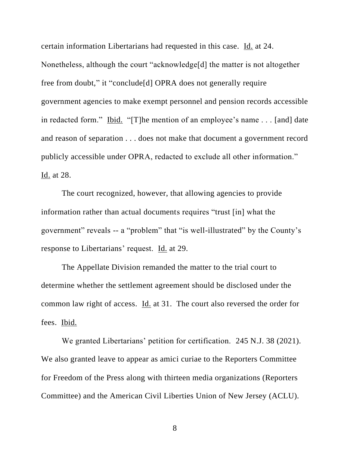certain information Libertarians had requested in this case. Id. at 24. Nonetheless, although the court "acknowledge[d] the matter is not altogether free from doubt," it "conclude[d] OPRA does not generally require government agencies to make exempt personnel and pension records accessible in redacted form." Ibid. "[T]he mention of an employee's name . . . [and] date and reason of separation . . . does not make that document a government record publicly accessible under OPRA, redacted to exclude all other information." Id. at 28.

The court recognized, however, that allowing agencies to provide information rather than actual documents requires "trust [in] what the government" reveals -- a "problem" that "is well-illustrated" by the County's response to Libertarians' request. Id. at 29.

The Appellate Division remanded the matter to the trial court to determine whether the settlement agreement should be disclosed under the common law right of access. Id. at 31. The court also reversed the order for fees. Ibid.

We granted Libertarians' petition for certification. 245 N.J. 38 (2021). We also granted leave to appear as amici curiae to the Reporters Committee for Freedom of the Press along with thirteen media organizations (Reporters Committee) and the American Civil Liberties Union of New Jersey (ACLU).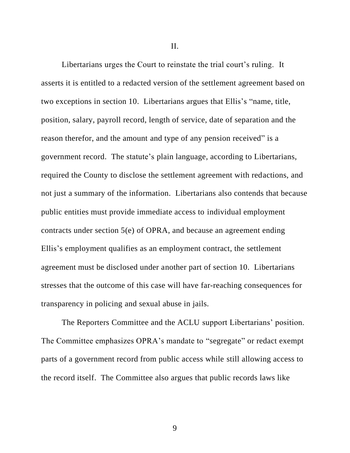II.

Libertarians urges the Court to reinstate the trial court's ruling. It asserts it is entitled to a redacted version of the settlement agreement based on two exceptions in section 10. Libertarians argues that Ellis's "name, title, position, salary, payroll record, length of service, date of separation and the reason therefor, and the amount and type of any pension received" is a government record. The statute's plain language, according to Libertarians, required the County to disclose the settlement agreement with redactions, and not just a summary of the information. Libertarians also contends that because public entities must provide immediate access to individual employment contracts under section 5(e) of OPRA, and because an agreement ending Ellis's employment qualifies as an employment contract, the settlement agreement must be disclosed under another part of section 10. Libertarians stresses that the outcome of this case will have far-reaching consequences for transparency in policing and sexual abuse in jails.

The Reporters Committee and the ACLU support Libertarians' position. The Committee emphasizes OPRA's mandate to "segregate" or redact exempt parts of a government record from public access while still allowing access to the record itself. The Committee also argues that public records laws like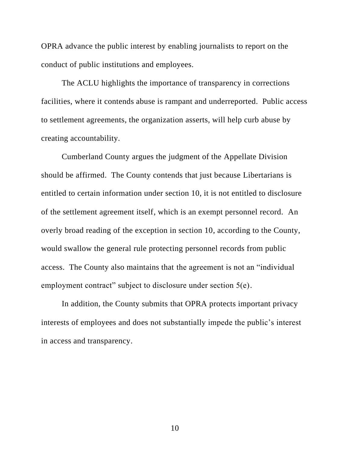OPRA advance the public interest by enabling journalists to report on the conduct of public institutions and employees.

The ACLU highlights the importance of transparency in corrections facilities, where it contends abuse is rampant and underreported. Public access to settlement agreements, the organization asserts, will help curb abuse by creating accountability.

Cumberland County argues the judgment of the Appellate Division should be affirmed. The County contends that just because Libertarians is entitled to certain information under section 10, it is not entitled to disclosure of the settlement agreement itself, which is an exempt personnel record. An overly broad reading of the exception in section 10, according to the County, would swallow the general rule protecting personnel records from public access. The County also maintains that the agreement is not an "individual employment contract" subject to disclosure under section 5(e).

In addition, the County submits that OPRA protects important privacy interests of employees and does not substantially impede the public's interest in access and transparency.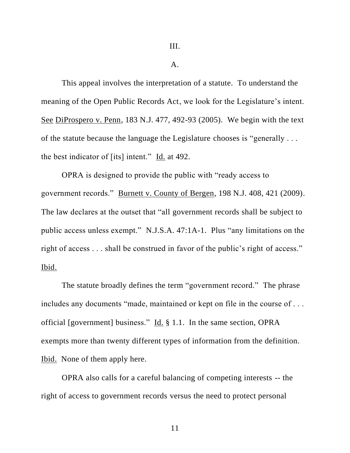#### A.

This appeal involves the interpretation of a statute. To understand the meaning of the Open Public Records Act, we look for the Legislature's intent. See DiProspero v. Penn, 183 N.J. 477, 492-93 (2005). We begin with the text of the statute because the language the Legislature chooses is "generally . . . the best indicator of [its] intent." Id. at 492.

OPRA is designed to provide the public with "ready access to government records." Burnett v. County of Bergen, 198 N.J. 408, 421 (2009). The law declares at the outset that "all government records shall be subject to public access unless exempt." N.J.S.A. 47:1A-1. Plus "any limitations on the right of access . . . shall be construed in favor of the public's right of access." Ibid.

The statute broadly defines the term "government record." The phrase includes any documents "made, maintained or kept on file in the course of . . . official [government] business." Id. § 1.1. In the same section, OPRA exempts more than twenty different types of information from the definition. Ibid. None of them apply here.

OPRA also calls for a careful balancing of competing interests -- the right of access to government records versus the need to protect personal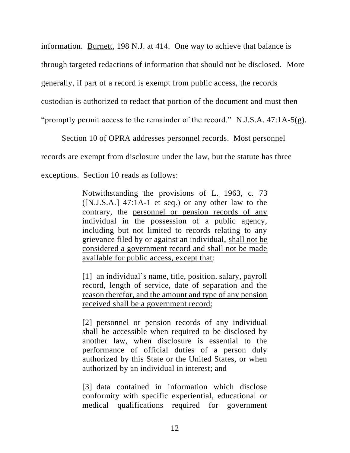information. Burnett, 198 N.J. at 414. One way to achieve that balance is through targeted redactions of information that should not be disclosed. More generally, if part of a record is exempt from public access, the records custodian is authorized to redact that portion of the document and must then "promptly permit access to the remainder of the record." N.J.S.A.  $47:1A-5(g)$ .

Section 10 of OPRA addresses personnel records. Most personnel records are exempt from disclosure under the law, but the statute has three exceptions. Section 10 reads as follows:

> Notwithstanding the provisions of L. 1963, c. 73  $([N.J.S.A.]$  47:1A-1 et seq.) or any other law to the contrary, the personnel or pension records of any individual in the possession of a public agency, including but not limited to records relating to any grievance filed by or against an individual, shall not be considered a government record and shall not be made available for public access, except that:

> [1] an individual's name, title, position, salary, payroll record, length of service, date of separation and the reason therefor, and the amount and type of any pension received shall be a government record;

> [2] personnel or pension records of any individual shall be accessible when required to be disclosed by another law, when disclosure is essential to the performance of official duties of a person duly authorized by this State or the United States, or when authorized by an individual in interest; and

> [3] data contained in information which disclose conformity with specific experiential, educational or medical qualifications required for government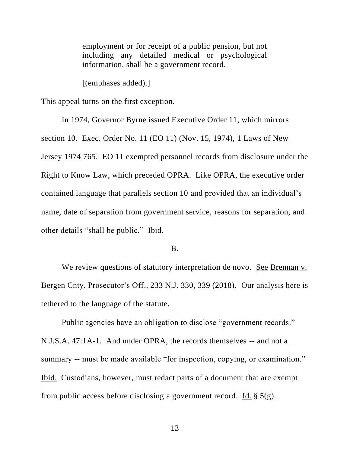employment or for receipt of a public pension, but not including any detailed medical or psychological information, shall be a government record.

[(emphases added).]

This appeal turns on the first exception.

In 1974, Governor Byrne issued Executive Order 11, which mirrors section 10. Exec. Order No. 11 (EO 11) (Nov. 15, 1974), 1 Laws of New Jersey 1974 765. EO 11 exempted personnel records from disclosure under the Right to Know Law, which preceded OPRA. Like OPRA, the executive order contained language that parallels section 10 and provided that an individual's name, date of separation from government service, reasons for separation, and other details "shall be public." Ibid.

#### B.

We review questions of statutory interpretation de novo. See Brennan v. Bergen Cnty. Prosecutor's Off., 233 N.J. 330, 339 (2018). Our analysis here is tethered to the language of the statute.

Public agencies have an obligation to disclose "government records." N.J.S.A. 47:1A-1. And under OPRA, the records themselves -- and not a summary -- must be made available "for inspection, copying, or examination." Ibid. Custodians, however, must redact parts of a document that are exempt from public access before disclosing a government record. Id.  $\S$  5(g).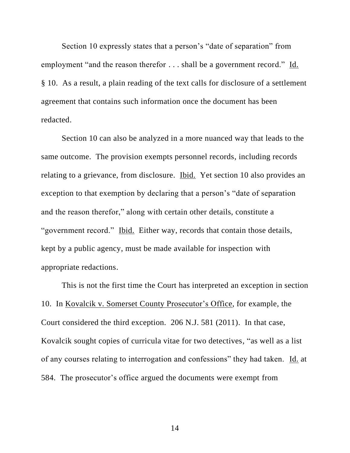Section 10 expressly states that a person's "date of separation" from employment "and the reason therefor . . . shall be a government record." Id. § 10. As a result, a plain reading of the text calls for disclosure of a settlement agreement that contains such information once the document has been redacted.

Section 10 can also be analyzed in a more nuanced way that leads to the same outcome. The provision exempts personnel records, including records relating to a grievance, from disclosure. Ibid. Yet section 10 also provides an exception to that exemption by declaring that a person's "date of separation and the reason therefor," along with certain other details, constitute a "government record." Ibid. Either way, records that contain those details, kept by a public agency, must be made available for inspection with appropriate redactions.

This is not the first time the Court has interpreted an exception in section 10. In Kovalcik v. Somerset County Prosecutor's Office, for example, the Court considered the third exception. 206 N.J. 581 (2011). In that case, Kovalcik sought copies of curricula vitae for two detectives, "as well as a list of any courses relating to interrogation and confessions" they had taken. Id. at 584. The prosecutor's office argued the documents were exempt from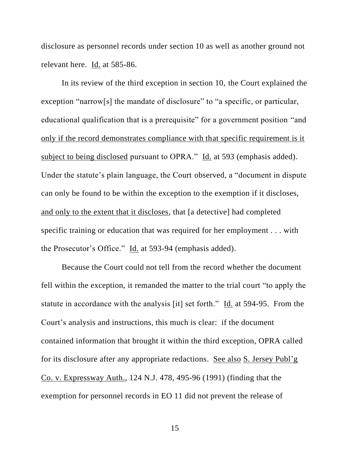disclosure as personnel records under section 10 as well as another ground not relevant here. Id. at 585-86.

In its review of the third exception in section 10, the Court explained the exception "narrow[s] the mandate of disclosure" to "a specific, or particular, educational qualification that is a prerequisite" for a government position "and only if the record demonstrates compliance with that specific requirement is it subject to being disclosed pursuant to OPRA." Id. at 593 (emphasis added). Under the statute's plain language, the Court observed, a "document in dispute can only be found to be within the exception to the exemption if it discloses, and only to the extent that it discloses, that [a detective] had completed specific training or education that was required for her employment . . . with the Prosecutor's Office." Id. at 593-94 (emphasis added).

Because the Court could not tell from the record whether the document fell within the exception, it remanded the matter to the trial court "to apply the statute in accordance with the analysis [it] set forth." Id. at 594-95. From the Court's analysis and instructions, this much is clear: if the document contained information that brought it within the third exception, OPRA called for its disclosure after any appropriate redactions. See also S. Jersey Publ'g Co. v. Expressway Auth., 124 N.J. 478, 495-96 (1991) (finding that the exemption for personnel records in EO 11 did not prevent the release of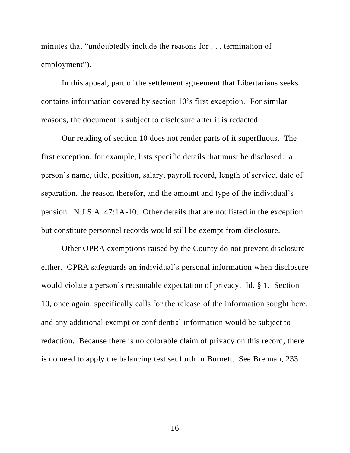minutes that "undoubtedly include the reasons for . . . termination of employment").

In this appeal, part of the settlement agreement that Libertarians seeks contains information covered by section 10's first exception. For similar reasons, the document is subject to disclosure after it is redacted.

Our reading of section 10 does not render parts of it superfluous. The first exception, for example, lists specific details that must be disclosed: a person's name, title, position, salary, payroll record, length of service, date of separation, the reason therefor, and the amount and type of the individual's pension. N.J.S.A. 47:1A-10. Other details that are not listed in the exception but constitute personnel records would still be exempt from disclosure.

Other OPRA exemptions raised by the County do not prevent disclosure either. OPRA safeguards an individual's personal information when disclosure would violate a person's reasonable expectation of privacy. Id. § 1. Section 10, once again, specifically calls for the release of the information sought here, and any additional exempt or confidential information would be subject to redaction. Because there is no colorable claim of privacy on this record, there is no need to apply the balancing test set forth in Burnett. See Brennan, 233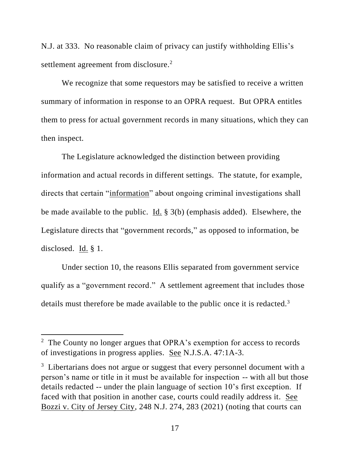N.J. at 333. No reasonable claim of privacy can justify withholding Ellis's settlement agreement from disclosure.<sup>2</sup>

We recognize that some requestors may be satisfied to receive a written summary of information in response to an OPRA request. But OPRA entitles them to press for actual government records in many situations, which they can then inspect.

The Legislature acknowledged the distinction between providing information and actual records in different settings. The statute, for example, directs that certain "information" about ongoing criminal investigations shall be made available to the public. Id. § 3(b) (emphasis added). Elsewhere, the Legislature directs that "government records," as opposed to information, be disclosed. Id. § 1.

Under section 10, the reasons Ellis separated from government service qualify as a "government record." A settlement agreement that includes those details must therefore be made available to the public once it is redacted.<sup>3</sup>

<sup>&</sup>lt;sup>2</sup> The County no longer argues that OPRA's exemption for access to records of investigations in progress applies. See N.J.S.A. 47:1A-3.

<sup>&</sup>lt;sup>3</sup> Libertarians does not argue or suggest that every personnel document with a person's name or title in it must be available for inspection -- with all but those details redacted -- under the plain language of section 10's first exception. If faced with that position in another case, courts could readily address it. See Bozzi v. City of Jersey City, 248 N.J. 274, 283 (2021) (noting that courts can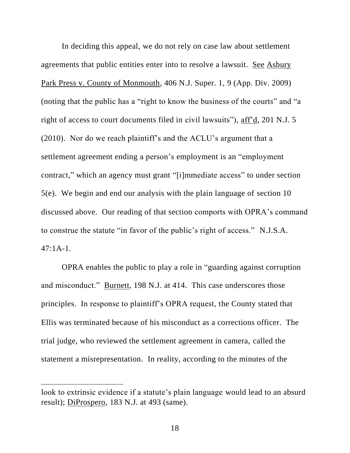In deciding this appeal, we do not rely on case law about settlement agreements that public entities enter into to resolve a lawsuit. See Asbury Park Press v. County of Monmouth, 406 N.J. Super. 1, 9 (App. Div. 2009) (noting that the public has a "right to know the business of the courts" and "a right of access to court documents filed in civil lawsuits"), aff'd, 201 N.J. 5 (2010). Nor do we reach plaintiff's and the ACLU's argument that a settlement agreement ending a person's employment is an "employment contract," which an agency must grant "[i]mmediate access" to under section 5(e). We begin and end our analysis with the plain language of section 10 discussed above. Our reading of that section comports with OPRA's command to construe the statute "in favor of the public's right of access." N.J.S.A. 47:1A-1.

OPRA enables the public to play a role in "guarding against corruption and misconduct." Burnett, 198 N.J. at 414. This case underscores those principles. In response to plaintiff's OPRA request, the County stated that Ellis was terminated because of his misconduct as a corrections officer. The trial judge, who reviewed the settlement agreement in camera, called the statement a misrepresentation. In reality, according to the minutes of the

look to extrinsic evidence if a statute's plain language would lead to an absurd result); DiProspero, 183 N.J. at 493 (same).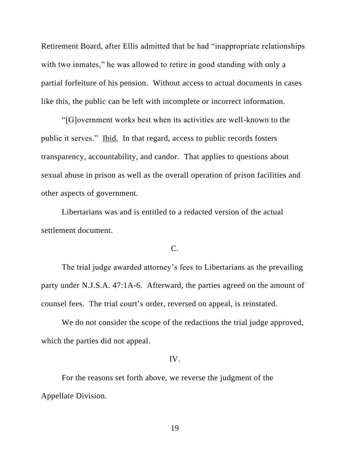Retirement Board, after Ellis admitted that he had "inappropriate relationships with two inmates," he was allowed to retire in good standing with only a partial forfeiture of his pension. Without access to actual documents in cases like this, the public can be left with incomplete or incorrect information.

"[G]overnment works best when its activities are well-known to the public it serves." Ibid. In that regard, access to public records fosters transparency, accountability, and candor. That applies to questions about sexual abuse in prison as well as the overall operation of prison facilities and other aspects of government.

Libertarians was and is entitled to a redacted version of the actual settlement document.

# C.

The trial judge awarded attorney's fees to Libertarians as the prevailing party under N.J.S.A. 47:1A-6. Afterward, the parties agreed on the amount of counsel fees. The trial court's order, reversed on appeal, is reinstated.

We do not consider the scope of the redactions the trial judge approved, which the parties did not appeal.

### IV.

For the reasons set forth above, we reverse the judgment of the Appellate Division.